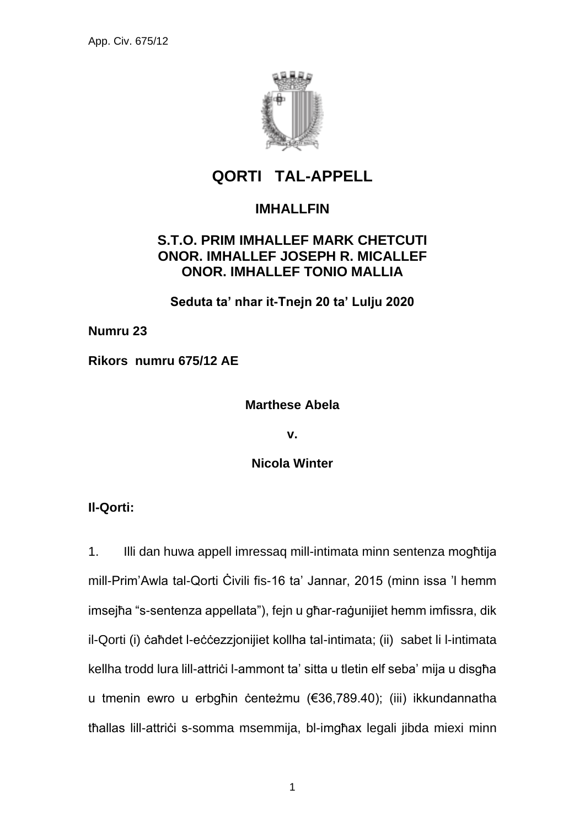

# **QORTI TAL-APPELL**

## **IMHALLFIN**

### **S.T.O. PRIM IMHALLEF MARK CHETCUTI ONOR. IMHALLEF JOSEPH R. MICALLEF ONOR. IMHALLEF TONIO MALLIA**

**Seduta ta' nhar it-Tnejn 20 ta' Lulju 2020**

**Numru 23**

**Rikors numru 675/12 AE**

### **Marthese Abela**

**v.**

**Nicola Winter**

**Il-Qorti:**

1. Illi dan huwa appell imressaq mill-intimata minn sentenza mogħtija mill-Prim'Awla tal-Qorti Ċivili fis-16 ta' Jannar, 2015 (minn issa 'l hemm imsejħa "s-sentenza appellata"), fejn u għar-raġunijiet hemm imfissra, dik il-Qorti (i) ċaħdet l-eċċezzjonijiet kollha tal-intimata; (ii) sabet li l-intimata kellha trodd lura lill-attriċi l-ammont ta' sitta u tletin elf seba' mija u disgħa u tmenin ewro u erbgħin ċenteżmu (€36,789.40); (iii) ikkundannatha thallas lill-attrici s-somma msemmija, bl-imgħax legali jibda miexi minn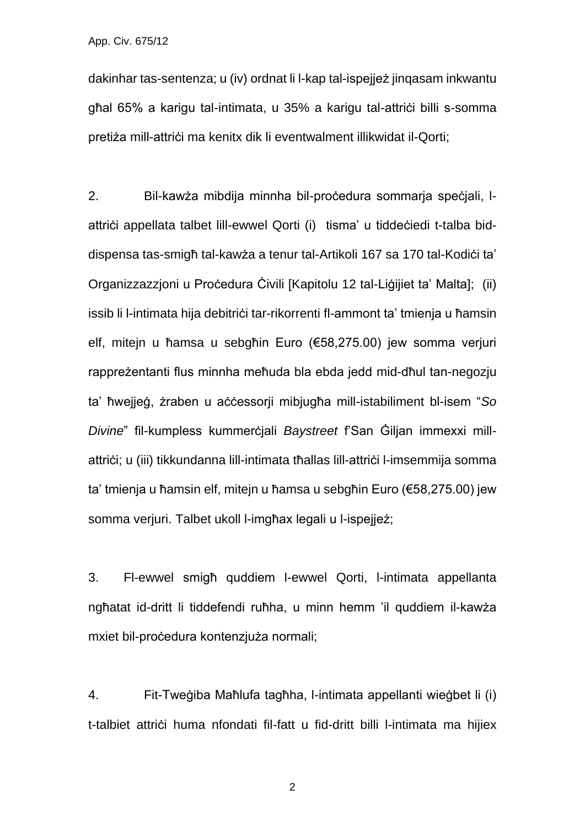dakinhar tas-sentenza; u (iv) ordnat li l-kap tal-ispejjeż jinqasam inkwantu għal 65% a karigu tal-intimata, u 35% a karigu tal-attrici billi s-somma pretiża mill-attrici ma kenitx dik li eventwalment illikwidat il-Qorti;

2. Bil-kawża mibdija minnha bil-proċedura sommarja speċjali, lattriċi appellata talbet lill-ewwel Qorti (i) tisma' u tiddeċiedi t-talba biddispensa tas-smigħ tal-kawża a tenur tal-Artikoli 167 sa 170 tal-Kodiċi ta' Organizzazzjoni u Proċedura Ċivili [Kapitolu 12 tal-Liġijiet ta' Malta]; (ii) issib li l-intimata hija debitriči tar-rikorrenti fl-ammont ta' tmienja u ħamsin elf, mitejn u ħamsa u sebgħin Euro (€58,275.00) jew somma verjuri rappreżentanti flus minnha meħuda bla ebda jedd mid-dħul tan-negozju ta' ħwejjeġ, żraben u aċċessorji mibjugħa mill-istabiliment bl-isem "*So Divine*" fil-kumpless kummerċjali *Baystreet* f'San Ġiljan immexxi millattriči; u (iii) tikkundanna lill-intimata tħallas lill-attriči l-imsemmija somma ta' tmienja u ħamsin elf, mitejn u ħamsa u sebgħin Euro (€58,275.00) jew somma verjuri. Talbet ukoll l-imgħax legali u l-ispejjeż;

3. Fl-ewwel smigħ quddiem l-ewwel Qorti, l-intimata appellanta ngħatat id-dritt li tiddefendi ruħha, u minn hemm 'il quddiem il-kawża mxiet bil-proċedura kontenzjuża normali;

4. Fit-Tweġiba Maħlufa tagħha, l-intimata appellanti wieġbet li (i) t-talbiet attriċi huma nfondati fil-fatt u fid-dritt billi l-intimata ma hijiex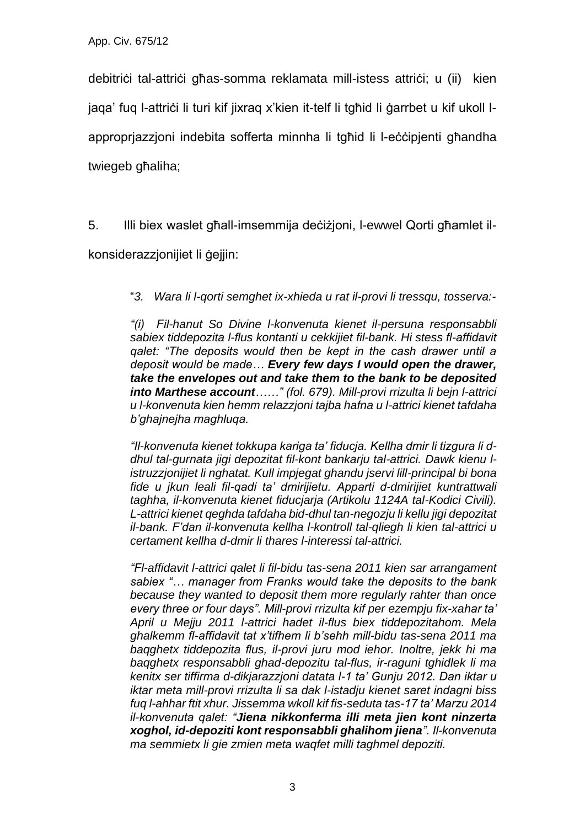debitriċi tal-attriċi għas-somma reklamata mill-istess attriċi; u (ii) kien jaqa' fuq l-attriċi li turi kif jixraq x'kien it-telf li tgħid li ġarrbet u kif ukoll lapproprjazzjoni indebita sofferta minnha li tgħid li l-eċċipjenti għandha twiegeb għaliha;

5. Illi biex waslet għall-imsemmija deċiżjoni, l-ewwel Qorti għamlet il-

konsiderazzjonijiet li ġejjin:

"*3. Wara li l-qorti semghet ix-xhieda u rat il-provi li tressqu, tosserva:-*

*"(i) Fil-hanut So Divine l-konvenuta kienet il-persuna responsabbli sabiex tiddepozita l-flus kontanti u cekkijiet fil-bank. Hi stess fl-affidavit qalet: "The deposits would then be kept in the cash drawer until a deposit would be made… Every few days I would open the drawer, take the envelopes out and take them to the bank to be deposited into Marthese account……" (fol. 679). Mill-provi rrizulta li bejn l-attrici u l-konvenuta kien hemm relazzjoni tajba hafna u l-attrici kienet tafdaha b'ghajnejha maghluqa.* 

*"Il-konvenuta kienet tokkupa kariga ta' fiducja. Kellha dmir li tizgura li ddhul tal-gurnata jigi depozitat fil-kont bankarju tal-attrici. Dawk kienu listruzzjonijiet li nghatat. Kull impjegat ghandu jservi lill-principal bi bona fide u jkun leali fil-qadi ta' dmirijietu. Apparti d-dmirijiet kuntrattwali taghha, il-konvenuta kienet fiducjarja (Artikolu 1124A tal-Kodici Civili). L-attrici kienet qeghda tafdaha bid-dhul tan-negozju li kellu jigi depozitat il-bank. F'dan il-konvenuta kellha l-kontroll tal-qliegh li kien tal-attrici u certament kellha d-dmir li thares l-interessi tal-attrici.*

*"Fl-affidavit l-attrici qalet li fil-bidu tas-sena 2011 kien sar arrangament sabiex "… manager from Franks would take the deposits to the bank because they wanted to deposit them more regularly rahter than once every three or four days". Mill-provi rrizulta kif per ezempju fix-xahar ta' April u Mejju 2011 l-attrici hadet il-flus biex tiddepozitahom. Mela ghalkemm fl-affidavit tat x'tifhem li b'sehh mill-bidu tas-sena 2011 ma baqghetx tiddepozita flus, il-provi juru mod iehor. Inoltre, jekk hi ma baqghetx responsabbli ghad-depozitu tal-flus, ir-raguni tghidlek li ma kenitx ser tiffirma d-dikjarazzjoni datata l-1 ta' Gunju 2012. Dan iktar u iktar meta mill-provi rrizulta li sa dak l-istadju kienet saret indagni biss fuq l-ahhar ftit xhur. Jissemma wkoll kif fis-seduta tas-17 ta' Marzu 2014 il-konvenuta qalet: "Jiena nikkonferma illi meta jien kont ninzerta xoghol, id-depoziti kont responsabbli ghalihom jiena". Il-konvenuta ma semmietx li gie zmien meta waqfet milli taghmel depoziti.*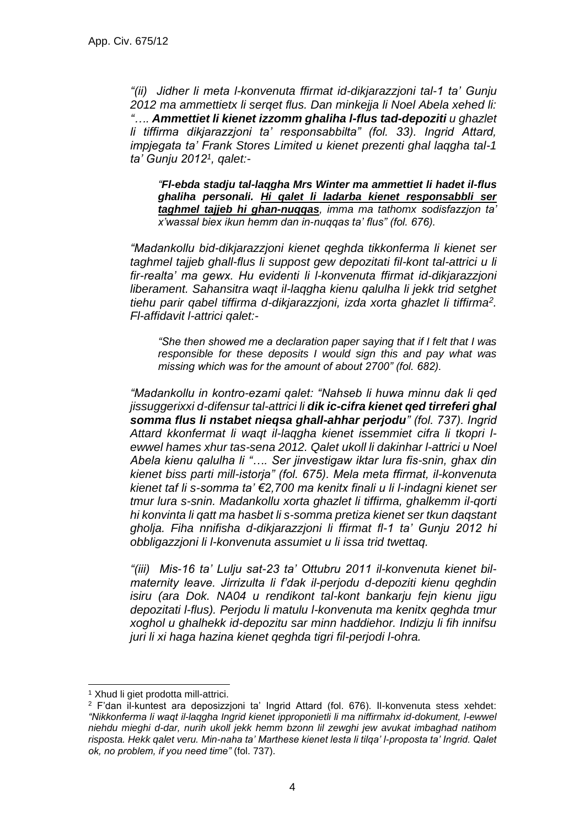*"(ii) Jidher li meta l-konvenuta ffirmat id-dikjarazzjoni tal-1 ta' Gunju 2012 ma ammettietx li serqet flus. Dan minkejja li Noel Abela xehed li: "…. Ammettiet li kienet izzomm ghaliha l-flus tad-depoziti u ghazlet li tiffirma dikjarazzjoni ta' responsabbilta" (fol. 33). Ingrid Attard, impjegata ta' Frank Stores Limited u kienet prezenti ghal laqgha tal-1 ta' Gunju 2012<sup>1</sup> , qalet:-*

*"Fl-ebda stadju tal-laqgha Mrs Winter ma ammettiet li hadet il-flus ghaliha personali. Hi qalet li ladarba kienet responsabbli ser taghmel tajjeb hi ghan-nuqqas, imma ma tathomx sodisfazzjon ta' x'wassal biex ikun hemm dan in-nuqqas ta' flus" (fol. 676).*

*"Madankollu bid-dikjarazzjoni kienet qeghda tikkonferma li kienet ser taghmel tajjeb ghall-flus li suppost gew depozitati fil-kont tal-attrici u li fir-realta' ma gewx. Hu evidenti li l-konvenuta ffirmat id-dikjarazzjoni liberament. Sahansitra waqt il-laqgha kienu qalulha li jekk trid setghet tiehu parir qabel tiffirma d-dikjarazzjoni, izda xorta ghazlet li tiffirma<sup>2</sup> . Fl-affidavit l-attrici qalet:-*

*"She then showed me a declaration paper saying that if I felt that I was responsible for these deposits I would sign this and pay what was missing which was for the amount of about 2700" (fol. 682).*

*"Madankollu in kontro-ezami qalet: "Nahseb li huwa minnu dak li qed jissuggerixxi d-difensur tal-attrici li dik ic-cifra kienet qed tirreferi ghal somma flus li nstabet nieqsa ghall-ahhar perjodu" (fol. 737). Ingrid Attard kkonfermat li waqt il-laqgha kienet issemmiet cifra li tkopri lewwel hames xhur tas-sena 2012. Qalet ukoll li dakinhar l-attrici u Noel Abela kienu qalulha li "…. Ser jinvestigaw iktar lura fis-snin, ghax din kienet biss parti mill-istorja" (fol. 675). Mela meta ffirmat, il-konvenuta kienet taf li s-somma ta' €2,700 ma kenitx finali u li l-indagni kienet ser tmur lura s-snin. Madankollu xorta ghazlet li tiffirma, ghalkemm il-qorti hi konvinta li qatt ma hasbet li s-somma pretiza kienet ser tkun daqstant gholja. Fiha nnifisha d-dikjarazzjoni li ffirmat fl-1 ta' Gunju 2012 hi obbligazzjoni li l-konvenuta assumiet u li issa trid twettaq.* 

*"(iii) Mis-16 ta' Lulju sat-23 ta' Ottubru 2011 il-konvenuta kienet bilmaternity leave. Jirrizulta li f'dak il-perjodu d-depoziti kienu qeghdin isiru (ara Dok. NA04 u rendikont tal-kont bankarju fejn kienu jigu depozitati l-flus). Perjodu li matulu l-konvenuta ma kenitx qeghda tmur xoghol u ghalhekk id-depozitu sar minn haddiehor. Indizju li fih innifsu juri li xi haga hazina kienet qeghda tigri fil-perjodi l-ohra.* 

<sup>1</sup> Xhud li giet prodotta mill-attrici.

<sup>2</sup> F'dan il-kuntest ara deposizzjoni ta' Ingrid Attard (fol. 676). Il-konvenuta stess xehdet: *"Nikkonferma li waqt il-laqgha Ingrid kienet ipproponietli li ma niffirmahx id-dokument, l-ewwel niehdu mieghi d-dar, nurih ukoll jekk hemm bzonn lil zewghi jew avukat imbaghad natihom risposta. Hekk qalet veru. Min-naha ta' Marthese kienet lesta li tilqa' l-proposta ta' Ingrid. Qalet ok, no problem, if you need time"* (fol. 737).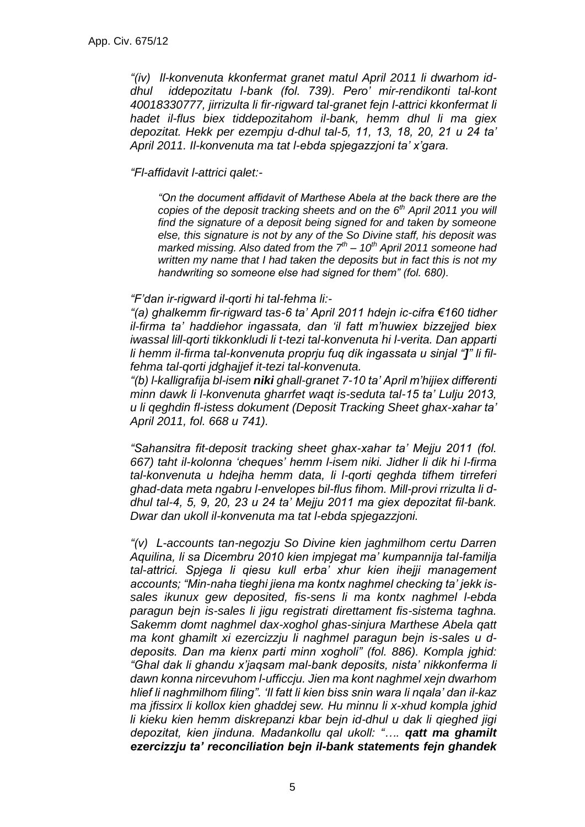*"(iv) Il-konvenuta kkonfermat granet matul April 2011 li dwarhom iddhul iddepozitatu l-bank (fol. 739). Pero' mir-rendikonti tal-kont 40018330777, jirrizulta li fir-rigward tal-granet fejn l-attrici kkonfermat li hadet il-flus biex tiddepozitahom il-bank, hemm dhul li ma giex depozitat. Hekk per ezempju d-dhul tal-5, 11, 13, 18, 20, 21 u 24 ta' April 2011. Il-konvenuta ma tat l-ebda spjegazzjoni ta' x'gara.*

#### *"Fl-affidavit l-attrici qalet:-*

*"On the document affidavit of Marthese Abela at the back there are the copies of the deposit tracking sheets and on the 6th April 2011 you will find the signature of a deposit being signed for and taken by someone else, this signature is not by any of the So Divine staff, his deposit was marked missing. Also dated from the 7th – 10th April 2011 someone had written my name that I had taken the deposits but in fact this is not my handwriting so someone else had signed for them" (fol. 680).*

#### *"F'dan ir-rigward il-qorti hi tal-fehma li:-*

*"(a) ghalkemm fir-rigward tas-6 ta' April 2011 hdejn ic-cifra €160 tidher il-firma ta' haddiehor ingassata, dan 'il fatt m'huwiex bizzejjed biex iwassal lill-qorti tikkonkludi li t-tezi tal-konvenuta hi l-verita. Dan apparti li hemm il-firma tal-konvenuta proprju fuq dik ingassata u sinjal "]" li filfehma tal-qorti jdghajjef it-tezi tal-konvenuta.*

*"(b) l-kalligrafija bl-isem niki ghall-granet 7-10 ta' April m'hijiex differenti minn dawk li l-konvenuta gharrfet waqt is-seduta tal-15 ta' Lulju 2013, u li qeghdin fl-istess dokument (Deposit Tracking Sheet ghax-xahar ta' April 2011, fol. 668 u 741).* 

*"Sahansitra fit-deposit tracking sheet ghax-xahar ta' Mejju 2011 (fol. 667) taht il-kolonna 'cheques' hemm l-isem niki. Jidher li dik hi l-firma tal-konvenuta u hdejha hemm data, li l-qorti qeghda tifhem tirreferi ghad-data meta ngabru l-envelopes bil-flus fihom. Mill-provi rrizulta li ddhul tal-4, 5, 9, 20, 23 u 24 ta' Mejju 2011 ma giex depozitat fil-bank. Dwar dan ukoll il-konvenuta ma tat l-ebda spjegazzjoni.* 

*"(v) L-accounts tan-negozju So Divine kien jaghmilhom certu Darren Aquilina, li sa Dicembru 2010 kien impjegat ma' kumpannija tal-familja tal-attrici. Spjega li qiesu kull erba' xhur kien ihejji management accounts; "Min-naha tieghi jiena ma kontx naghmel checking ta' jekk issales ikunux gew deposited, fis-sens li ma kontx naghmel l-ebda paragun bejn is-sales li jigu registrati direttament fis-sistema taghna. Sakemm domt naghmel dax-xoghol ghas-sinjura Marthese Abela qatt ma kont ghamilt xi ezercizzju li naghmel paragun bejn is-sales u ddeposits. Dan ma kienx parti minn xogholi" (fol. 886). Kompla jghid: "Ghal dak li ghandu x'jaqsam mal-bank deposits, nista' nikkonferma li dawn konna nircevuhom l-ufficcju. Jien ma kont naghmel xejn dwarhom hlief li naghmilhom filing". 'Il fatt li kien biss snin wara li nqala' dan il-kaz ma jfissirx li kollox kien ghaddej sew. Hu minnu li x-xhud kompla jghid li kieku kien hemm diskrepanzi kbar bejn id-dhul u dak li qieghed jigi depozitat, kien jinduna. Madankollu qal ukoll: "…. qatt ma ghamilt ezercizzju ta' reconciliation bejn il-bank statements fejn ghandek*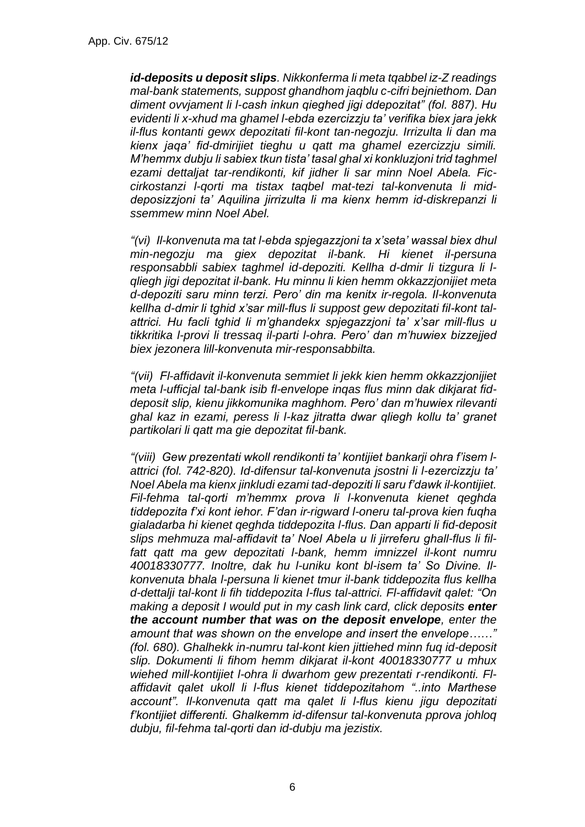*id-deposits u deposit slips. Nikkonferma li meta tqabbel iz-Z readings mal-bank statements, suppost ghandhom jaqblu c-cifri bejniethom. Dan diment ovvjament li l-cash inkun qieghed jigi ddepozitat" (fol. 887). Hu evidenti li x-xhud ma ghamel l-ebda ezercizzju ta' verifika biex jara jekk il-flus kontanti gewx depozitati fil-kont tan-negozju. Irrizulta li dan ma kienx jaqa' fid-dmirijiet tieghu u qatt ma ghamel ezercizzju simili. M'hemmx dubju li sabiex tkun tista' tasal ghal xi konkluzjoni trid taghmel ezami dettaljat tar-rendikonti, kif jidher li sar minn Noel Abela. Ficcirkostanzi l-qorti ma tistax taqbel mat-tezi tal-konvenuta li middeposizzjoni ta' Aquilina jirrizulta li ma kienx hemm id-diskrepanzi li ssemmew minn Noel Abel.* 

*"(vi) Il-konvenuta ma tat l-ebda spjegazzjoni ta x'seta' wassal biex dhul min-negozju ma giex depozitat il-bank. Hi kienet il-persuna responsabbli sabiex taghmel id-depoziti. Kellha d-dmir li tizgura li lqliegh jigi depozitat il-bank. Hu minnu li kien hemm okkazzjonijiet meta d-depoziti saru minn terzi. Pero' din ma kenitx ir-regola. Il-konvenuta kellha d-dmir li tghid x'sar mill-flus li suppost gew depozitati fil-kont talattrici. Hu facli tghid li m'ghandekx spjegazzjoni ta' x'sar mill-flus u tikkritika l-provi li tressaq il-parti l-ohra. Pero' dan m'huwiex bizzejjed biex jezonera lill-konvenuta mir-responsabbilta.*

*"(vii) Fl-affidavit il-konvenuta semmiet li jekk kien hemm okkazzjonijiet meta l-ufficjal tal-bank isib fl-envelope inqas flus minn dak dikjarat fiddeposit slip, kienu jikkomunika maghhom. Pero' dan m'huwiex rilevanti ghal kaz in ezami, peress li l-kaz jitratta dwar qliegh kollu ta' granet partikolari li qatt ma gie depozitat fil-bank.*

*"(viii) Gew prezentati wkoll rendikonti ta' kontijiet bankarji ohra f'isem lattrici (fol. 742-820). Id-difensur tal-konvenuta jsostni li l-ezercizzju ta' Noel Abela ma kienx jinkludi ezami tad-depoziti li saru f'dawk il-kontijiet. Fil-fehma tal-qorti m'hemmx prova li l-konvenuta kienet qeghda tiddepozita f'xi kont iehor. F'dan ir-rigward l-oneru tal-prova kien fuqha gialadarba hi kienet qeghda tiddepozita l-flus. Dan apparti li fid-deposit slips mehmuza mal-affidavit ta' Noel Abela u li jirreferu ghall-flus li filfatt qatt ma gew depozitati l-bank, hemm imnizzel il-kont numru 40018330777. Inoltre, dak hu l-uniku kont bl-isem ta' So Divine. Ilkonvenuta bhala l-persuna li kienet tmur il-bank tiddepozita flus kellha d-dettalji tal-kont li fih tiddepozita l-flus tal-attrici. Fl-affidavit qalet: "On making a deposit I would put in my cash link card, click deposits enter the account number that was on the deposit envelope, enter the amount that was shown on the envelope and insert the envelope……" (fol. 680). Ghalhekk in-numru tal-kont kien jittiehed minn fuq id-deposit slip. Dokumenti li fihom hemm dikjarat il-kont 40018330777 u mhux wiehed mill-kontijiet l-ohra li dwarhom gew prezentati r-rendikonti. Flaffidavit qalet ukoll li l-flus kienet tiddepozitahom "..into Marthese account". Il-konvenuta qatt ma qalet li l-flus kienu jigu depozitati f'kontijiet differenti. Ghalkemm id-difensur tal-konvenuta pprova johloq dubju, fil-fehma tal-qorti dan id-dubju ma jezistix.*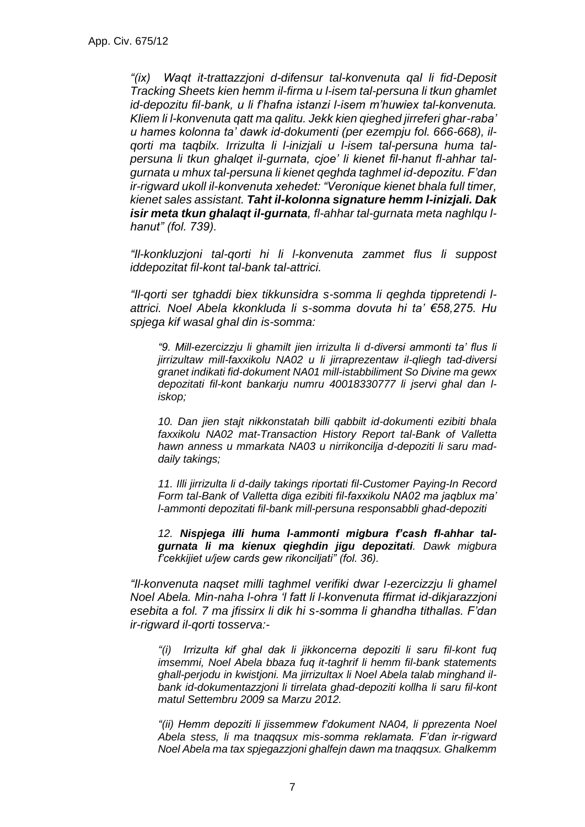*"(ix) Waqt it-trattazzjoni d-difensur tal-konvenuta qal li fid-Deposit Tracking Sheets kien hemm il-firma u l-isem tal-persuna li tkun ghamlet id-depozitu fil-bank, u li f'hafna istanzi l-isem m'huwiex tal-konvenuta. Kliem li l-konvenuta qatt ma qalitu. Jekk kien qieghed jirreferi ghar-raba' u hames kolonna ta' dawk id-dokumenti (per ezempju fol. 666-668), ilqorti ma taqbilx. Irrizulta li l-inizjali u l-isem tal-persuna huma talpersuna li tkun ghalqet il-gurnata, cjoe' li kienet fil-hanut fl-ahhar talgurnata u mhux tal-persuna li kienet qeghda taghmel id-depozitu. F'dan ir-rigward ukoll il-konvenuta xehedet: "Veronique kienet bhala full timer, kienet sales assistant. Taht il-kolonna signature hemm l-inizjali. Dak isir meta tkun ghalaqt il-gurnata, fl-ahhar tal-gurnata meta naghlqu lhanut" (fol. 739).* 

*"Il-konkluzjoni tal-qorti hi li l-konvenuta zammet flus li suppost iddepozitat fil-kont tal-bank tal-attrici.* 

*"Il-qorti ser tghaddi biex tikkunsidra s-somma li qeghda tippretendi lattrici. Noel Abela kkonkluda li s-somma dovuta hi ta' €58,275. Hu spjega kif wasal ghal din is-somma:*

*"9. Mill-ezercizzju li ghamilt jien irrizulta li d-diversi ammonti ta' flus li jirrizultaw mill-faxxikolu NA02 u li jirraprezentaw il-qliegh tad-diversi granet indikati fid-dokument NA01 mill-istabbiliment So Divine ma gewx depozitati fil-kont bankarju numru 40018330777 li jservi ghal dan liskop;*

*10. Dan jien stajt nikkonstatah billi qabbilt id-dokumenti ezibiti bhala faxxikolu NA02 mat-Transaction History Report tal-Bank of Valletta hawn anness u mmarkata NA03 u nirrikoncilja d-depoziti li saru maddaily takings;*

*11. Illi jirrizulta li d-daily takings riportati fil-Customer Paying-In Record Form tal-Bank of Valletta diga ezibiti fil-faxxikolu NA02 ma jaqblux ma' l-ammonti depozitati fil-bank mill-persuna responsabbli ghad-depoziti*

*12. Nispjega illi huma l-ammonti migbura f'cash fl-ahhar talgurnata li ma kienux qieghdin jigu depozitati. Dawk migbura f'cekkijiet u/jew cards gew rikonciljati" (fol. 36).*

*"Il-konvenuta naqset milli taghmel verifiki dwar l-ezercizzju li ghamel Noel Abela. Min-naha l-ohra 'l fatt li l-konvenuta ffirmat id-dikjarazzjoni esebita a fol. 7 ma jfissirx li dik hi s-somma li ghandha tithallas. F'dan ir-rigward il-qorti tosserva:-*

*"(i) Irrizulta kif ghal dak li jikkoncerna depoziti li saru fil-kont fuq imsemmi, Noel Abela bbaza fuq it-taghrif li hemm fil-bank statements ghall-perjodu in kwistjoni. Ma jirrizultax li Noel Abela talab minghand ilbank id-dokumentazzjoni li tirrelata ghad-depoziti kollha li saru fil-kont matul Settembru 2009 sa Marzu 2012.*

*"(ii) Hemm depoziti li jissemmew f'dokument NA04, li pprezenta Noel Abela stess, li ma tnaqqsux mis-somma reklamata. F'dan ir-rigward Noel Abela ma tax spjegazzjoni ghalfejn dawn ma tnaqqsux. Ghalkemm*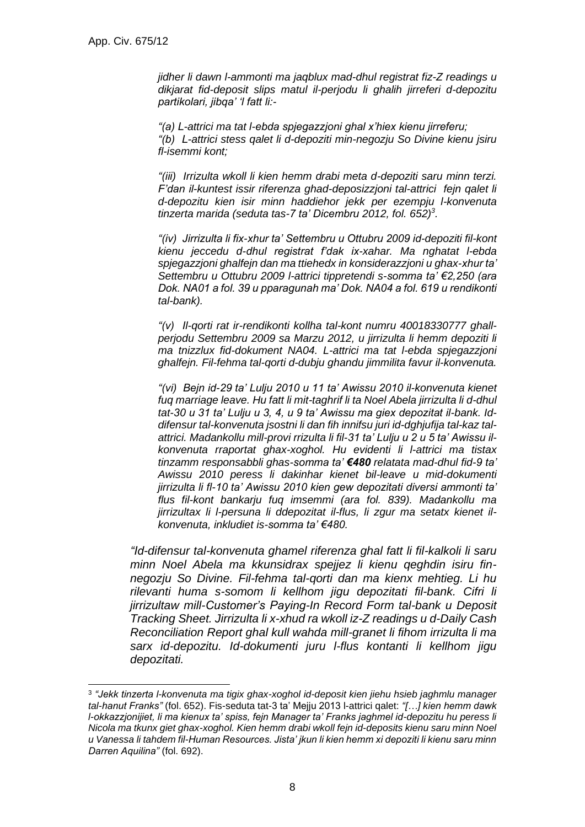*jidher li dawn l-ammonti ma jaqblux mad-dhul registrat fiz-Z readings u dikjarat fid-deposit slips matul il-perjodu li ghalih jirreferi d-depozitu partikolari, jibqa' 'l fatt li:-*

*"(a) L-attrici ma tat l-ebda spjegazzjoni ghal x'hiex kienu jirreferu; "(b) L-attrici stess qalet li d-depoziti min-negozju So Divine kienu jsiru fl-isemmi kont;*

*"(iii) Irrizulta wkoll li kien hemm drabi meta d-depoziti saru minn terzi. F'dan il-kuntest issir riferenza ghad-deposizzjoni tal-attrici fejn qalet li d-depozitu kien isir minn haddiehor jekk per ezempju l-konvenuta tinzerta marida (seduta tas-7 ta' Dicembru 2012, fol. 652)<sup>3</sup> .*

*"(iv) Jirrizulta li fix-xhur ta' Settembru u Ottubru 2009 id-depoziti fil-kont kienu jeccedu d-dhul registrat f'dak ix-xahar. Ma nghatat l-ebda spjegazzjoni ghalfejn dan ma ttiehedx in konsiderazzjoni u ghax-xhur ta' Settembru u Ottubru 2009 l-attrici tippretendi s-somma ta' €2,250 (ara Dok. NA01 a fol. 39 u pparagunah ma' Dok. NA04 a fol. 619 u rendikonti tal-bank).* 

*"(v) Il-qorti rat ir-rendikonti kollha tal-kont numru 40018330777 ghallperjodu Settembru 2009 sa Marzu 2012, u jirrizulta li hemm depoziti li ma tnizzlux fid-dokument NA04. L-attrici ma tat l-ebda spjegazzjoni ghalfejn. Fil-fehma tal-qorti d-dubju ghandu jimmilita favur il-konvenuta.*

*"(vi) Bejn id-29 ta' Lulju 2010 u 11 ta' Awissu 2010 il-konvenuta kienet fuq marriage leave. Hu fatt li mit-taghrif li ta Noel Abela jirrizulta li d-dhul tat-30 u 31 ta' Lulju u 3, 4, u 9 ta' Awissu ma giex depozitat il-bank. Iddifensur tal-konvenuta jsostni li dan fih innifsu juri id-dghjufija tal-kaz talattrici. Madankollu mill-provi rrizulta li fil-31 ta' Lulju u 2 u 5 ta' Awissu ilkonvenuta rraportat ghax-xoghol. Hu evidenti li l-attrici ma tistax tinzamm responsabbli ghas-somma ta' €480 relatata mad-dhul fid-9 ta' Awissu 2010 peress li dakinhar kienet bil-leave u mid-dokumenti jirrizulta li fl-10 ta' Awissu 2010 kien gew depozitati diversi ammonti ta' flus fil-kont bankarju fuq imsemmi (ara fol. 839). Madankollu ma jirrizultax li l-persuna li ddepozitat il-flus, li zgur ma setatx kienet ilkonvenuta, inkludiet is-somma ta' €480.* 

*"Id-difensur tal-konvenuta ghamel riferenza ghal fatt li fil-kalkoli li saru minn Noel Abela ma kkunsidrax spejjez li kienu qeghdin isiru finnegozju So Divine. Fil-fehma tal-qorti dan ma kienx mehtieg. Li hu rilevanti huma s-somom li kellhom jigu depozitati fil-bank. Cifri li jirrizultaw mill-Customer's Paying-In Record Form tal-bank u Deposit Tracking Sheet. Jirrizulta li x-xhud ra wkoll iz-Z readings u d-Daily Cash Reconciliation Report ghal kull wahda mill-granet li fihom irrizulta li ma sarx id-depozitu. Id-dokumenti juru l-flus kontanti li kellhom jigu depozitati.*

<sup>3</sup> *"Jekk tinzerta l-konvenuta ma tigix ghax-xoghol id-deposit kien jiehu hsieb jaghmlu manager tal-hanut Franks"* (fol. 652). Fis-seduta tat-3 ta' Mejju 2013 l-attrici qalet: *"[…] kien hemm dawk l-okkazzjonijiet, li ma kienux ta' spiss, fejn Manager ta' Franks jaghmel id-depozitu hu peress li Nicola ma tkunx giet ghax-xoghol. Kien hemm drabi wkoll fejn id-deposits kienu saru minn Noel u Vanessa li tahdem fil-Human Resources. Jista' jkun li kien hemm xi depoziti li kienu saru minn Darren Aquilina"* (fol. 692).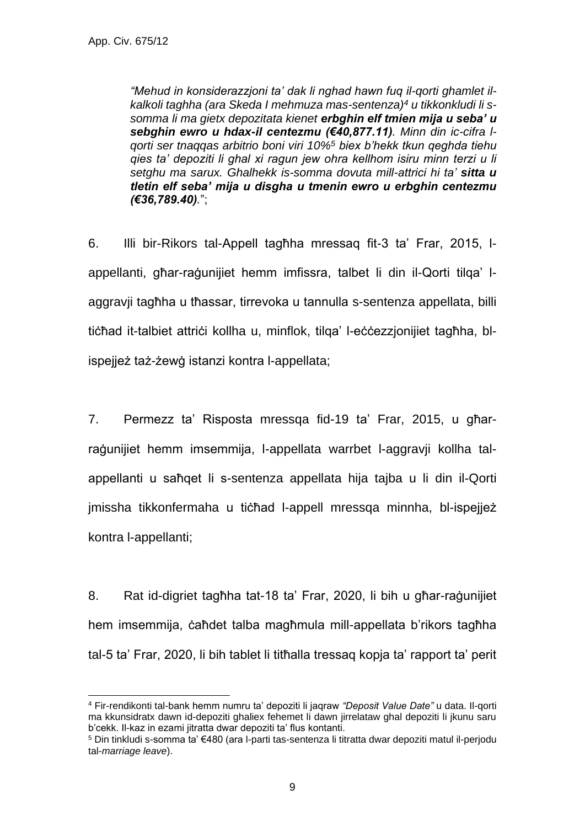*"Mehud in konsiderazzjoni ta' dak li nghad hawn fuq il-qorti ghamlet ilkalkoli taghha (ara Skeda I mehmuza mas-sentenza)<sup>4</sup> u tikkonkludi li ssomma li ma gietx depozitata kienet erbghin elf tmien mija u seba' u sebghin ewro u hdax-il centezmu (€40,877.11). Minn din ic-cifra lqorti ser tnaqqas arbitrio boni viri 10%<sup>5</sup> biex b'hekk tkun qeghda tiehu qies ta' depoziti li ghal xi ragun jew ohra kellhom isiru minn terzi u li setghu ma sarux. Ghalhekk is-somma dovuta mill-attrici hi ta' sitta u tletin elf seba' mija u disgha u tmenin ewro u erbghin centezmu (€36,789.40).*";

6. Illi bir-Rikors tal-Appell tagħha mressaq fit-3 ta' Frar, 2015, lappellanti, għar-raġunijiet hemm imfissra, talbet li din il-Qorti tilqa' laggravji tagħha u tħassar, tirrevoka u tannulla s-sentenza appellata, billi tiċħad it-talbiet attriċi kollha u, minflok, tilqa' l-eċċezzjonijiet tagħha, blispejjeż taż-żewġ istanzi kontra l-appellata;

7. Permezz ta' Risposta mressqa fid-19 ta' Frar, 2015, u għarraġunijiet hemm imsemmija, l-appellata warrbet l-aggravji kollha talappellanti u saħqet li s-sentenza appellata hija tajba u li din il-Qorti jmissha tikkonfermaha u tichad l-appell mressqa minnha, bl-ispejjeż kontra l-appellanti;

8. Rat id-digriet tagħha tat-18 ta' Frar, 2020, li bih u għar-raġunijiet hem imsemmija, ċaħdet talba magħmula mill-appellata b'rikors tagħha tal-5 ta' Frar, 2020, li bih tablet li titħalla tressaq kopja ta' rapport ta' perit

<sup>4</sup> Fir-rendikonti tal-bank hemm numru ta' depoziti li jaqraw *"Deposit Value Date"* u data. Il-qorti ma kkunsidratx dawn id-depoziti ghaliex fehemet li dawn jirrelataw ghal depoziti li jkunu saru b'cekk. Il-kaz in ezami jitratta dwar depoziti ta' flus kontanti.

<sup>5</sup> Din tinkludi s-somma ta' €480 (ara l-parti tas-sentenza li titratta dwar depoziti matul il-perjodu tal-*marriage leave*).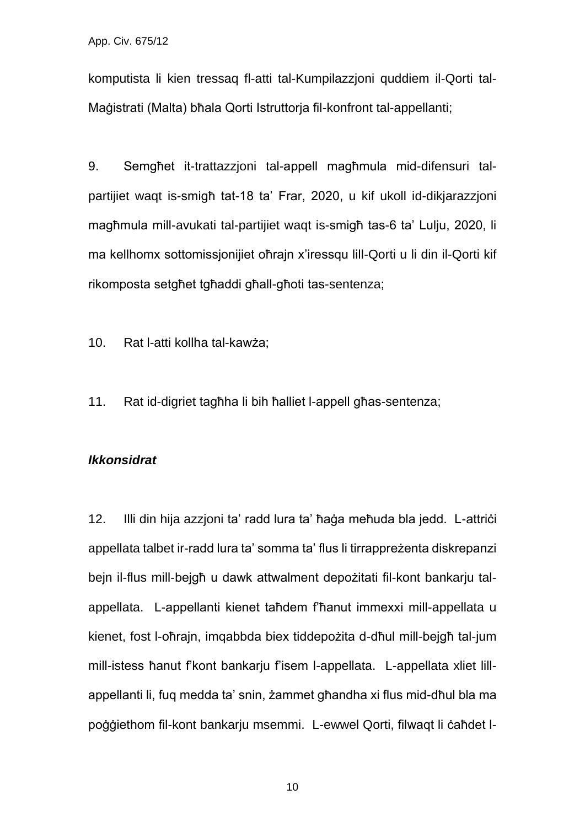komputista li kien tressaq fl-atti tal-Kumpilazzjoni quddiem il-Qorti tal-Maġistrati (Malta) bħala Qorti Istruttorja fil-konfront tal-appellanti;

9. Semgħet it-trattazzjoni tal-appell magħmula mid-difensuri talpartijiet waqt is-smigħ tat-18 ta' Frar, 2020, u kif ukoll id-dikjarazzjoni magħmula mill-avukati tal-partijiet waqt is-smigħ tas-6 ta' Lulju, 2020, li ma kellhomx sottomissjonijiet oħrajn x'iressqu lill-Qorti u li din il-Qorti kif rikomposta setgħet tgħaddi għall-għoti tas-sentenza;

10. Rat l-atti kollha tal-kawża;

11. Rat id-digriet tagħha li bih ħalliet l-appell għas-sentenza;

#### *Ikkonsidrat*

12. Illi din hija azzjoni ta' radd lura ta' ħaġa meħuda bla jedd. L-attriċi appellata talbet ir-radd lura ta' somma ta' flus li tirrappreżenta diskrepanzi bejn il-flus mill-bejgħ u dawk attwalment depożitati fil-kont bankarju talappellata. L-appellanti kienet taħdem f'ħanut immexxi mill-appellata u kienet, fost l-oħrajn, imqabbda biex tiddepożita d-dħul mill-bejgħ tal-jum mill-istess ħanut f'kont bankarju f'isem l-appellata. L-appellata xliet lillappellanti li, fuq medda ta' snin, żammet għandha xi flus mid-dħul bla ma poġġiethom fil-kont bankarju msemmi. L-ewwel Qorti, filwaqt li ċaħdet l-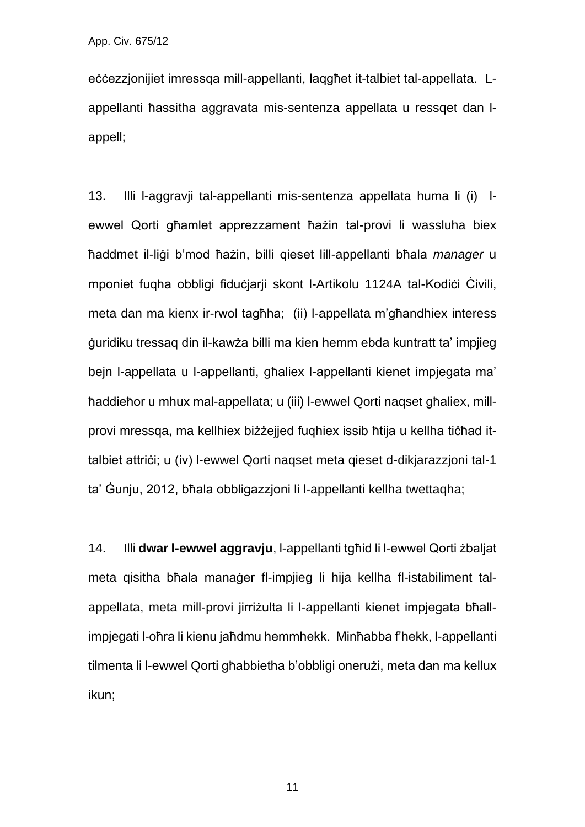eċċezzjonijiet imressqa mill-appellanti, laqgħet it-talbiet tal-appellata. Lappellanti ħassitha aggravata mis-sentenza appellata u ressqet dan lappell;

13. Illi l-aggravji tal-appellanti mis-sentenza appellata huma li (i) lewwel Qorti għamlet apprezzament ħażin tal-provi li wassluha biex ħaddmet il-liġi b'mod ħażin, billi qieset lill-appellanti bħala *manager* u mponiet fuqha obbligi fiduċjarji skont l-Artikolu 1124A tal-Kodiċi Čivili, meta dan ma kienx ir-rwol tagħha; (ii) l-appellata m'għandhiex interess ġuridiku tressaq din il-kawża billi ma kien hemm ebda kuntratt ta' impjieg bejn l-appellata u l-appellanti, għaliex l-appellanti kienet impjegata ma' ħaddieħor u mhux mal-appellata; u (iii) l-ewwel Qorti naqset għaliex, millprovi mressqa, ma kellhiex biżżejjed fuqhiex issib ħtija u kellha tiċħad ittalbiet attriċi; u (iv) l-ewwel Qorti naqset meta qieset d-dikjarazzjoni tal-1 ta' Ġunju, 2012, bħala obbligazzjoni li l-appellanti kellha twettaqha;

14. Illi **dwar l-ewwel aggravju**, l-appellanti tgħid li l-ewwel Qorti żbaljat meta qisitha bħala manaġer fl-impijeg li hija kellha fl-istabiliment talappellata, meta mill-provi jirriżulta li l-appellanti kienet impjegata bħallimpjegati l-oħra li kienu jaħdmu hemmhekk. Minħabba f'hekk, l-appellanti tilmenta li l-ewwel Qorti għabbietha b'obbligi onerużi, meta dan ma kellux ikun;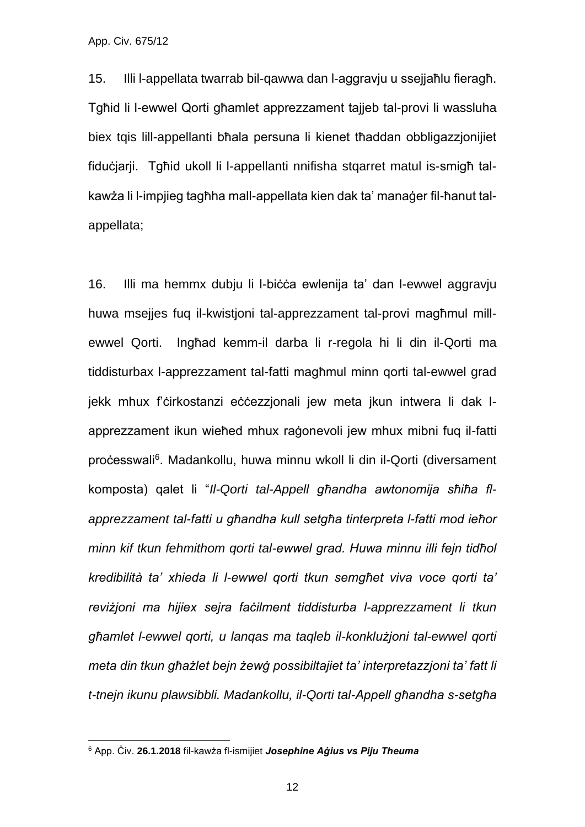15. Illi l-appellata twarrab bil-qawwa dan l-aggravju u ssejjaħlu fieragħ. Tgħid li l-ewwel Qorti għamlet apprezzament tajjeb tal-provi li wassluha biex tqis lill-appellanti bħala persuna li kienet tħaddan obbligazzjonijiet fiduċjarji. Tgħid ukoll li l-appellanti nnifisha stqarret matul is-smigħ talkawża li l-impjieg tagħha mall-appellata kien dak ta' manaġer fil-ħanut talappellata;

16. Illi ma hemmx dubju li l-biċċa ewlenija ta' dan l-ewwel aggravju huwa msejjes fuq il-kwistjoni tal-apprezzament tal-provi magħmul millewwel Qorti. Ingħad kemm-il darba li r-regola hi li din il-Qorti ma tiddisturbax l-apprezzament tal-fatti magħmul minn qorti tal-ewwel grad jekk mhux f'ċirkostanzi eċċezzjonali jew meta jkun intwera li dak lapprezzament ikun wieħed mhux raġonevoli jew mhux mibni fuq il-fatti proċesswali<sup>6</sup>. Madankollu, huwa minnu wkoll li din il-Qorti (diversament komposta) qalet li "*Il-Qorti tal-Appell għandha awtonomija sħiħa flapprezzament tal-fatti u għandha kull setgħa tinterpreta l-fatti mod ieħor minn kif tkun fehmithom qorti tal-ewwel grad. Huwa minnu illi fejn tidħol kredibilità ta' xhieda li l-ewwel qorti tkun semgħet viva voce qorti ta' reviżjoni ma hijiex sejra faċilment tiddisturba l-apprezzament li tkun għamlet l-ewwel qorti, u lanqas ma taqleb il-konklużjoni tal-ewwel qorti meta din tkun għażlet bejn żewġ possibiltajiet ta' interpretazzjoni ta' fatt li t-tnejn ikunu plawsibbli. Madankollu, il-Qorti tal-Appell għandha s-setgħa* 

<sup>6</sup> App. Ċiv. **26.1.2018** fil-kawża fl-ismijiet *Josephine Aġius vs Piju Theuma*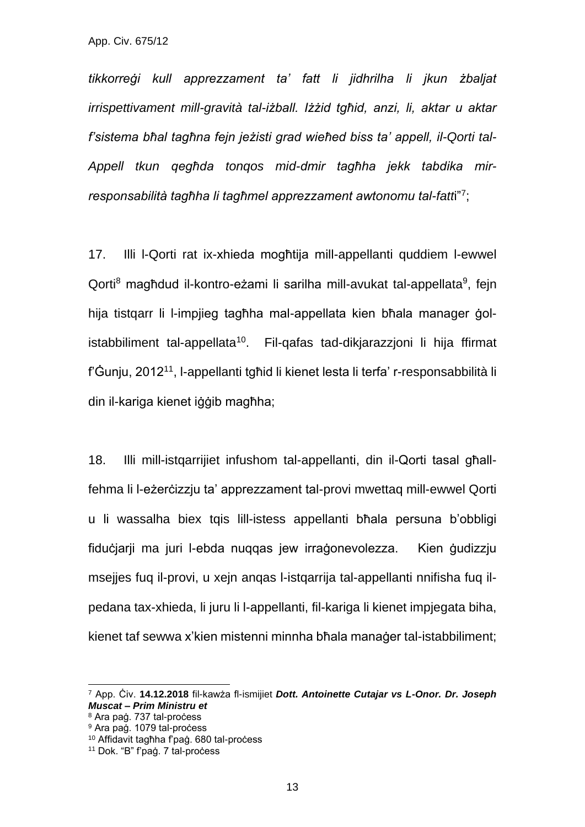*tikkorreġi kull apprezzament ta' fatt li jidhrilha li jkun żbaljat irrispettivament mill-gravità tal-iżball. Iżżid tgħid, anzi, li, aktar u aktar f'sistema bħal tagħna fejn jeżisti grad wieħed biss ta' appell, il-Qorti tal-Appell tkun qegħda tonqos mid-dmir tagħha jekk tabdika mirresponsabilità tagħha li tagħmel apprezzament awtonomu tal-fatt*i"<sup>7</sup> ;

17. Illi l-Qorti rat ix-xhieda mogħtija mill-appellanti quddiem l-ewwel Qorti<sup>8</sup> magħdud il-kontro-eżami li sarilha mill-avukat tal-appellata<sup>9</sup>, fejn hija tistqarr li l-impjieg tagħha mal-appellata kien bħala manager ġolistabbiliment tal-appellata<sup>10</sup>. Fil-qafas tad-dikjarazzjoni li hija ffirmat f'Ġunju, 2012<sup>11</sup>, l-appellanti tgħid li kienet lesta li terfa' r-responsabbilità li din il-kariga kienet iġġib magħha;

18. Illi mill-istqarrijiet infushom tal-appellanti, din il-Qorti tasal għallfehma li l-eżerċizzju ta' apprezzament tal-provi mwettaq mill-ewwel Qorti u li wassalha biex tqis lill-istess appellanti bħala persuna b'obbligi fiduċjarji ma juri l-ebda nuqqas jew irraġonevolezza. Kien ġudizzju msejjes fuq il-provi, u xejn anqas l-istqarrija tal-appellanti nnifisha fuq ilpedana tax-xhieda, li juru li l-appellanti, fil-kariga li kienet impjegata biha, kienet taf sewwa x'kien mistenni minnha bħala manaġer tal-istabbiliment;

<sup>7</sup> App. Ċiv. **14.12.2018** fil-kawża fl-ismijiet *Dott. Antoinette Cutajar vs L-Onor. Dr. Joseph Muscat – Prim Ministru et* 

<sup>8</sup> Ara paġ. 737 tal-proċess

<sup>&</sup>lt;sup>9</sup> Ara paġ. 1079 tal-process

<sup>10</sup> Affidavit tagħha f'paġ. 680 tal-proċess

<sup>&</sup>lt;sup>11</sup> Dok. "B" f'paġ. 7 tal-process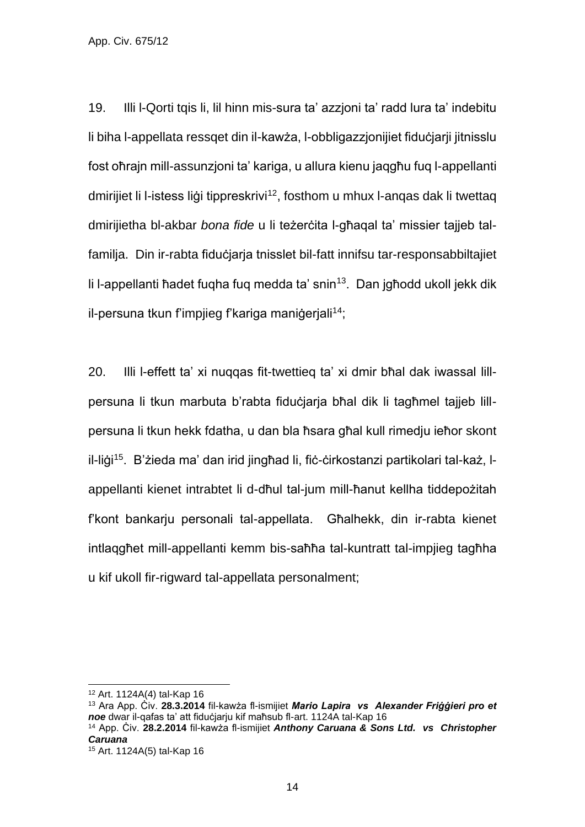19. Illi l-Qorti tqis li, lil hinn mis-sura ta' azzjoni ta' radd lura ta' indebitu li biha l-appellata ressqet din il-kawża, l-obbligazzjonijiet fiduċjarji jitnisslu fost oħrajn mill-assunzjoni ta' kariga, u allura kienu jaqgħu fuq l-appellanti dmirijiet li l-istess ligi tippreskrivi<sup>12</sup>, fosthom u mhux l-angas dak li twettag dmirijietha bl-akbar *bona fide* u li teżerċita l-għaqal ta' missier tajjeb talfamilja. Din ir-rabta fiduċjarja tnisslet bil-fatt innifsu tar-responsabbiltajiet li l-appellanti ħadet fuqha fuq medda ta' snin<sup>13</sup>. Dan jgħodd ukoll jekk dik il-persuna tkun f'impjieg f'kariga manigerjali<sup>14</sup>;

20. Illi l-effett ta' xi nuqqas fit-twettieq ta' xi dmir bħal dak iwassal lillpersuna li tkun marbuta b'rabta fiduċjarja bħal dik li tagħmel tajjeb lillpersuna li tkun hekk fdatha, u dan bla ħsara għal kull rimedju ieħor skont il-liġi15. B'żieda ma' dan irid jingħad li, fiċ-ċirkostanzi partikolari tal-każ, lappellanti kienet intrabtet li d-dħul tal-jum mill-ħanut kellha tiddepożitah f'kont bankarju personali tal-appellata. Għalhekk, din ir-rabta kienet intlaqgħet mill-appellanti kemm bis-saħħa tal-kuntratt tal-impjieg tagħha u kif ukoll fir-rigward tal-appellata personalment;

<sup>12</sup> Art. 1124A(4) tal-Kap 16

<sup>13</sup> Ara App. Ċiv. **28.3.2014** fil-kawża fl-ismijiet *Mario Lapira vs Alexander Friġġieri pro et noe* dwar il-qafas ta' att fiduċjarju kif maħsub fl-art. 1124A tal-Kap 16 <sup>14</sup> App. Ċiv. **28.2.2014** fil-kawża fl-ismijiet *Anthony Caruana & Sons Ltd. vs Christopher* 

*Caruana*

<sup>15</sup> Art. 1124A(5) tal-Kap 16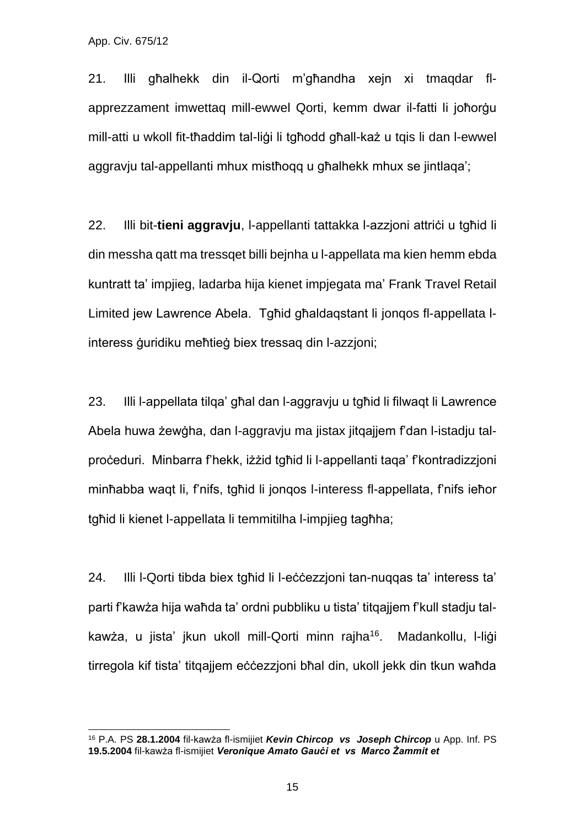21. Illi għalhekk din il-Qorti m'għandha xejn xi tmaqdar flapprezzament imwettaq mill-ewwel Qorti, kemm dwar il-fatti li joħorġu mill-atti u wkoll fit-tħaddim tal-liġi li tgħodd għall-każ u tqis li dan l-ewwel aggravju tal-appellanti mhux mistħoqq u għalhekk mhux se jintlaqa';

22. Illi bit-**tieni aggravju**, l-appellanti tattakka l-azzjoni attriċi u tgħid li din messha qatt ma tressqet billi bejnha u l-appellata ma kien hemm ebda kuntratt ta' impjieg, ladarba hija kienet impjegata ma' Frank Travel Retail Limited jew Lawrence Abela. Tgħid għaldaqstant li jonqos fl-appellata linteress ġuridiku meħtieġ biex tressaq din l-azzjoni;

23. Illi l-appellata tilqa' għal dan l-aggravju u tgħid li filwaqt li Lawrence Abela huwa żewġha, dan l-aggravju ma jistax jitqajjem f'dan l-istadju talproċeduri. Minbarra f'hekk, iżżid tgħid li l-appellanti taqa' f'kontradizzjoni minħabba waqt li, f'nifs, tgħid li jonqos l-interess fl-appellata, f'nifs ieħor tgħid li kienet l-appellata li temmitilha l-impjieg tagħha;

24. Illi l-Qorti tibda biex tgħid li l-eċċezzjoni tan-nuqqas ta' interess ta' parti f'kawża hija waħda ta' ordni pubbliku u tista' titqajjem f'kull stadju talkawża, u jista' jkun ukoll mill-Qorti minn rajha<sup>16</sup>. Madankollu, l-liġi tirregola kif tista' titqajjem eċċezzjoni bħal din, ukoll jekk din tkun waħda

<sup>16</sup> P.A. PS **28.1.2004** fil-kawża fl-ismijiet *Kevin Chircop vs Joseph Chircop* u App. Inf. PS **19.5.2004** fil-kawża fl-ismijiet *Veronique Amato Gauċi et vs Marco Żammit et*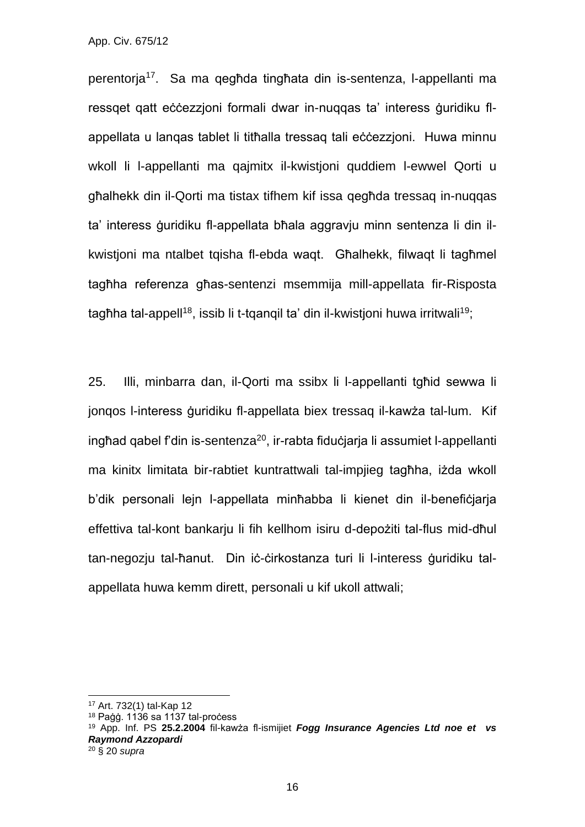perentorja<sup>17</sup>. Sa ma qegħda tingħata din is-sentenza, l-appellanti ma ressqet qatt eċċezzjoni formali dwar in-nuqqas ta' interess ġuridiku flappellata u lanqas tablet li titħalla tressaq tali eċċezzjoni. Huwa minnu wkoll li l-appellanti ma qajmitx il-kwistjoni quddiem l-ewwel Qorti u għalhekk din il-Qorti ma tistax tifhem kif issa qegħda tressaq in-nuqqas ta' interess ġuridiku fl-appellata bħala aggravju minn sentenza li din ilkwistjoni ma ntalbet tqisha fl-ebda waqt. Għalhekk, filwaqt li tagħmel tagħha referenza għas-sentenzi msemmija mill-appellata fir-Risposta tagħha tal-appell<sup>18</sup>, issib li t-tqanqil ta' din il-kwistjoni huwa irritwali<sup>19</sup>;

25. Illi, minbarra dan, il-Qorti ma ssibx li l-appellanti tgħid sewwa li jonqos l-interess ġuridiku fl-appellata biex tressaq il-kawża tal-lum. Kif inghad gabel f'din is-sentenza<sup>20</sup>, ir-rabta fiduċjarja li assumiet l-appellanti ma kinitx limitata bir-rabtiet kuntrattwali tal-impjieg tagħha, iżda wkoll b'dik personali lejn l-appellata minħabba li kienet din il-benefiċjarja effettiva tal-kont bankarju li fih kellhom isiru d-depożiti tal-flus mid-dħul tan-negozju tal-ħanut. Din iċ-ċirkostanza turi li l-interess ġuridiku talappellata huwa kemm dirett, personali u kif ukoll attwali;

<sup>17</sup> Art. 732(1) tal-Kap 12

 $18$  Paġġ. 1136 sa 1137 tal-process

<sup>19</sup> App. Inf. PS **25.2.2004** fil-kawża fl-ismijiet *Fogg Insurance Agencies Ltd noe et vs Raymond Azzopardi*

<sup>20</sup> § 20 *supra*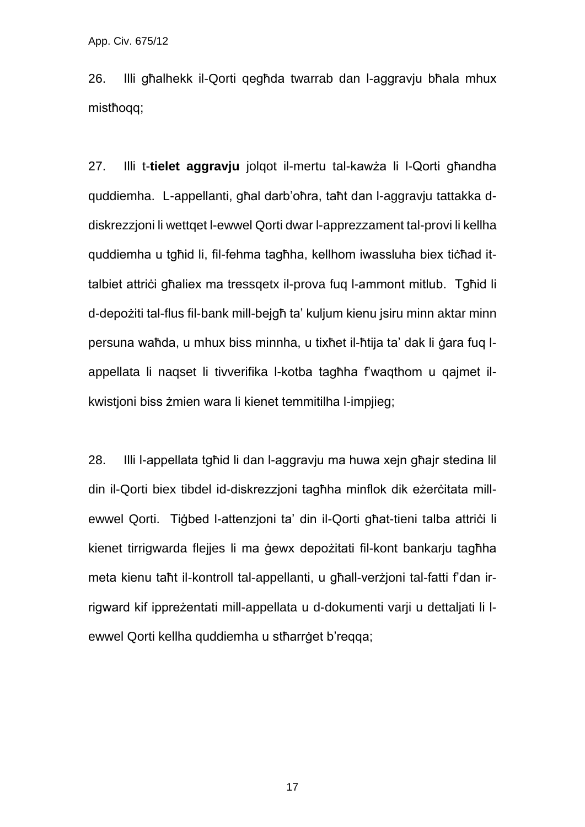26. Illi għalhekk il-Qorti qegħda twarrab dan l-aggravju bħala mhux mistħoqq;

27. Illi t-**tielet aggravju** jolqot il-mertu tal-kawża li l-Qorti għandha quddiemha. L-appellanti, għal darb'oħra, taħt dan l-aggravju tattakka ddiskrezzjoni li wettqet l-ewwel Qorti dwar l-apprezzament tal-provi li kellha quddiemha u tgħid li, fil-fehma tagħha, kellhom iwassluha biex tiċħad ittalbiet attrici għaliex ma tressgetx il-prova fug l-ammont mitlub. Tgħid li d-depożiti tal-flus fil-bank mill-bejgħ ta' kuljum kienu jsiru minn aktar minn persuna waħda, u mhux biss minnha, u tixħet il-ħtija ta' dak li ġara fuq lappellata li naqset li tivverifika l-kotba tagħha f'waqthom u qajmet ilkwistjoni biss żmien wara li kienet temmitilha l-impjieg;

28. Illi l-appellata tgħid li dan l-aggravju ma huwa xejn għajr stedina lil din il-Qorti biex tibdel id-diskrezzjoni tagħha minflok dik eżerċitata millewwel Qorti. Tiġbed l-attenzjoni ta' din il-Qorti għat-tieni talba attriċi li kienet tirrigwarda flejjes li ma ġewx depożitati fil-kont bankarju tagħha meta kienu taħt il-kontroll tal-appellanti, u għall-verżjoni tal-fatti f'dan irrigward kif ippreżentati mill-appellata u d-dokumenti varji u dettaljati li lewwel Qorti kellha quddiemha u stħarrġet b'reqqa;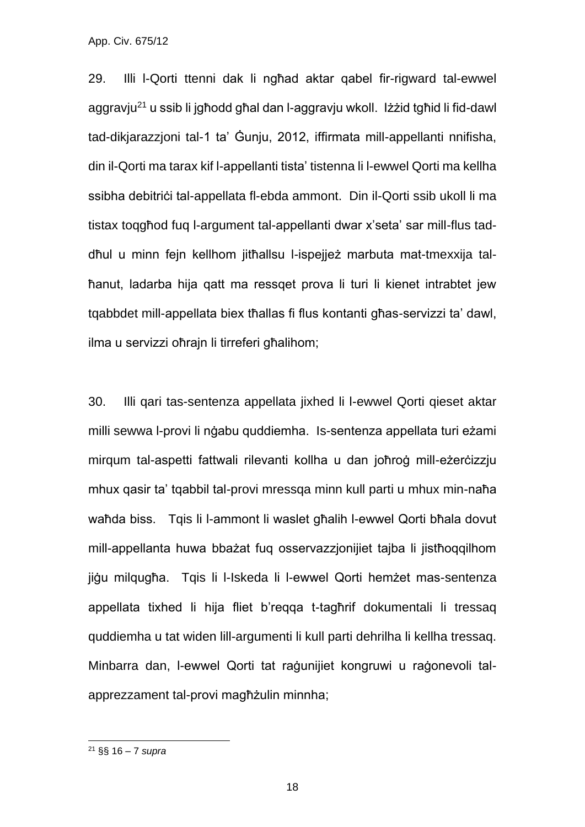29. Illi l-Qorti ttenni dak li ngħad aktar qabel fir-rigward tal-ewwel aggravju<sup>21</sup> u ssib li jgħodd għal dan l-aggravju wkoll. Iżżid tgħid li fid-dawl tad-dikjarazzjoni tal-1 ta' Ġunju, 2012, iffirmata mill-appellanti nnifisha, din il-Qorti ma tarax kif l-appellanti tista' tistenna li l-ewwel Qorti ma kellha ssibha debitrici tal-appellata fl-ebda ammont. Din il-Qorti ssib ukoll li ma tistax toqgħod fuq l-argument tal-appellanti dwar x'seta' sar mill-flus taddħul u minn fejn kellhom jitħallsu l-ispejjeż marbuta mat-tmexxija talħanut, ladarba hija qatt ma ressqet prova li turi li kienet intrabtet jew tqabbdet mill-appellata biex tħallas fi flus kontanti għas-servizzi ta' dawl, ilma u servizzi oħrajn li tirreferi għalihom;

30. Illi qari tas-sentenza appellata jixhed li l-ewwel Qorti qieset aktar milli sewwa l-provi li nġabu quddiemha. Is-sentenza appellata turi eżami mirqum tal-aspetti fattwali rilevanti kollha u dan joħroġ mill-eżerċizzju mhux qasir ta' tqabbil tal-provi mressqa minn kull parti u mhux min-naħa waħda biss. Tqis li l-ammont li waslet għalih l-ewwel Qorti bħala dovut mill-appellanta huwa bbażat fuq osservazzjonijiet tajba li jistħoqqilhom jiġu milqugħa. Tqis li l-Iskeda li l-ewwel Qorti hemżet mas-sentenza appellata tixhed li hija fliet b'reqqa t-tagħrif dokumentali li tressaq quddiemha u tat widen lill-argumenti li kull parti dehrilha li kellha tressaq. Minbarra dan, l-ewwel Qorti tat raġunijiet kongruwi u raġonevoli talapprezzament tal-provi magħżulin minnha;

<sup>21</sup> §§ 16 – 7 *supra*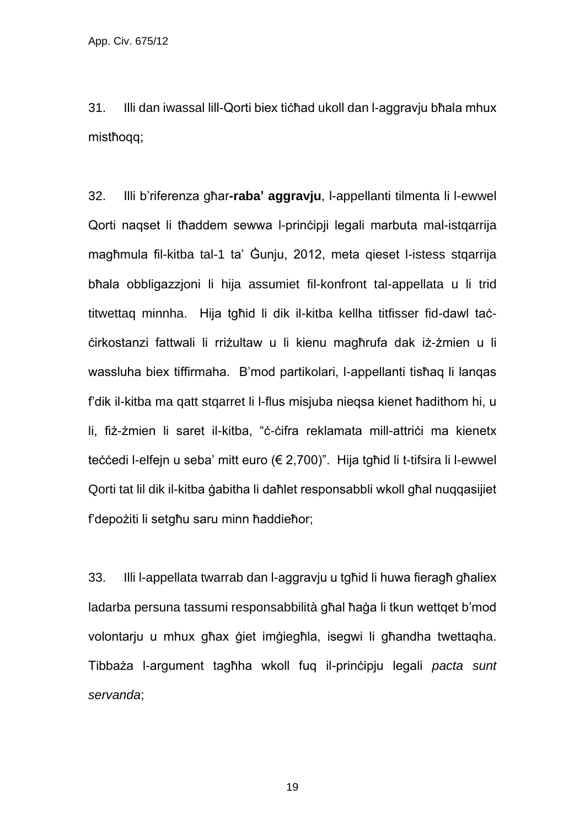31. Illi dan iwassal lill-Qorti biex tiċħad ukoll dan l-aggravju bħala mhux mistħoqq;

32. Illi b'riferenza għar**-raba' aggravju**, l-appellanti tilmenta li l-ewwel Qorti naqset li tħaddem sewwa l-prinċipji legali marbuta mal-istqarrija magħmula fil-kitba tal-1 ta' Ġunju, 2012, meta qieset l-istess stqarrija bħala obbligazzjoni li hija assumiet fil-konfront tal-appellata u li trid titwettaq minnha. Hija tgħid li dik il-kitba kellha titfisser fid-dawl taċċirkostanzi fattwali li rriżultaw u li kienu magħrufa dak iż-żmien u li wassluha biex tiffirmaha. B'mod partikolari, l-appellanti tisħaq li lanqas f'dik il-kitba ma qatt stqarret li l-flus misjuba nieqsa kienet ħadithom hi, u li, fiż-żmien li saret il-kitba, "ċ-ċifra reklamata mill-attriċi ma kienetx teċċedi l-elfejn u seba' mitt euro (€ 2,700)". Hija tgħid li t-tifsira li l-ewwel Qorti tat lil dik il-kitba ġabitha li daħlet responsabbli wkoll għal nuqqasijiet f'depożiti li setgħu saru minn ħaddieħor;

33. Illi l-appellata twarrab dan l-aggravju u tgħid li huwa fieragħ għaliex ladarba persuna tassumi responsabbilità għal ħaġa li tkun wettqet b'mod volontarju u mhux għax ġiet imġiegħla, isegwi li għandha twettaqha. Tibbaża l-argument tagħha wkoll fuq il-prinċipju legali *pacta sunt servanda*;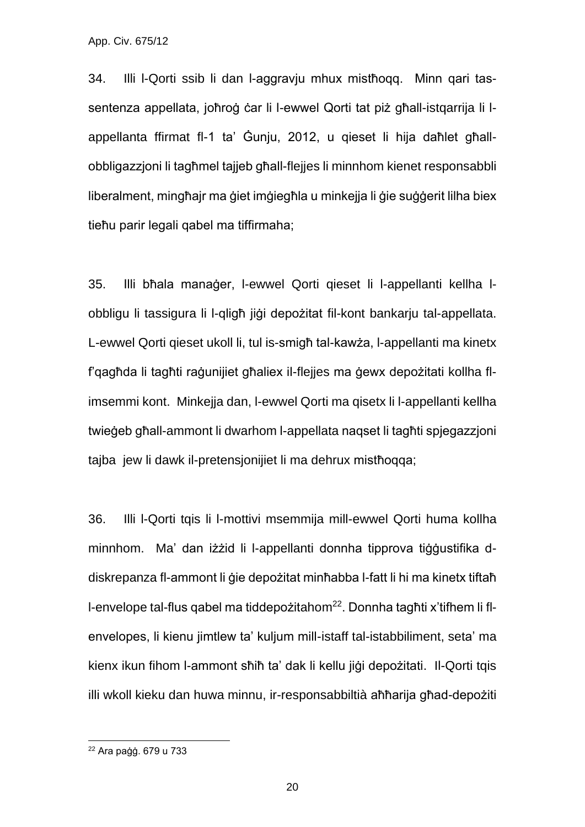34. Illi l-Qorti ssib li dan l-aggravju mhux mistħoqq. Minn qari tassentenza appellata, joħroġ ċar li l-ewwel Qorti tat piż għall-istqarrija li lappellanta ffirmat fl-1 ta' Ġunju, 2012, u qieset li hija daħlet għallobbligazzjoni li tagħmel tajjeb għall-flejjes li minnhom kienet responsabbli liberalment, mingħajr ma ġiet imġiegħla u minkejja li ġie suġġerit lilha biex tieħu parir legali qabel ma tiffirmaha;

35. Illi bħala manaġer, l-ewwel Qorti qieset li l-appellanti kellha lobbligu li tassigura li l-qligħ jiġi depożitat fil-kont bankarju tal-appellata. L-ewwel Qorti qieset ukoll li, tul is-smigħ tal-kawża, l-appellanti ma kinetx f'qagħda li tagħti raġunijiet għaliex il-flejjes ma ġewx depożitati kollha flimsemmi kont. Minkejja dan, l-ewwel Qorti ma qisetx li l-appellanti kellha twieġeb għall-ammont li dwarhom l-appellata naqset li tagħti spjegazzjoni tajba jew li dawk il-pretensjonijiet li ma dehrux mistħoqqa;

36. Illi l-Qorti tqis li l-mottivi msemmija mill-ewwel Qorti huma kollha minnhom. Ma' dan iżżid li l-appellanti donnha tipprova tiġġustifika ddiskrepanza fl-ammont li ġie depożitat minħabba l-fatt li hi ma kinetx tiftaħ l-envelope tal-flus qabel ma tiddepożitahom22. Donnha tagħti x'tifhem li flenvelopes, li kienu jimtlew ta' kuljum mill-istaff tal-istabbiliment, seta' ma kienx ikun fihom l-ammont sħiħ ta' dak li kellu jiġi depożitati. Il-Qorti tqis illi wkoll kieku dan huwa minnu, ir-responsabbiltià aħħarija għad-depożiti

<sup>22</sup> Ara paġġ. 679 u 733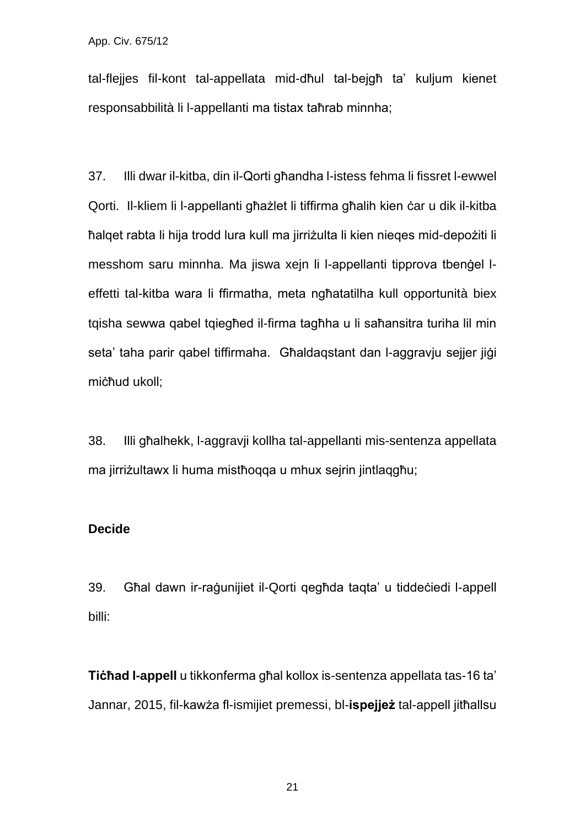tal-flejjes fil-kont tal-appellata mid-dħul tal-bejgħ ta' kuljum kienet responsabbilità li l-appellanti ma tistax taħrab minnha;

37. Illi dwar il-kitba, din il-Qorti għandha l-istess fehma li fissret l-ewwel Qorti. Il-kliem li l-appellanti għażlet li tiffirma għalih kien ċar u dik il-kitba ħalqet rabta li hija trodd lura kull ma jirriżulta li kien nieqes mid-depożiti li messhom saru minnha. Ma jiswa xejn li l-appellanti tipprova tbenġel leffetti tal-kitba wara li ffirmatha, meta ngħatatilha kull opportunità biex tqisha sewwa qabel tqiegħed il-firma tagħha u li saħansitra turiha lil min seta' taha parir qabel tiffirmaha. Għaldaqstant dan l-aggravju sejjer jiġi miċħud ukoll;

38. Illi għalhekk, l-aggravji kollha tal-appellanti mis-sentenza appellata ma jirriżultawx li huma mistħoqqa u mhux sejrin jintlaqgħu;

#### **Decide**

39. Għal dawn ir-raġunijiet il-Qorti qegħda taqta' u tiddeċiedi l-appell billi:

**Tiċħad l-appell** u tikkonferma għal kollox is-sentenza appellata tas-16 ta' Jannar, 2015, fil-kawża fl-ismijiet premessi, bl-**ispejjeż** tal-appell jitħallsu